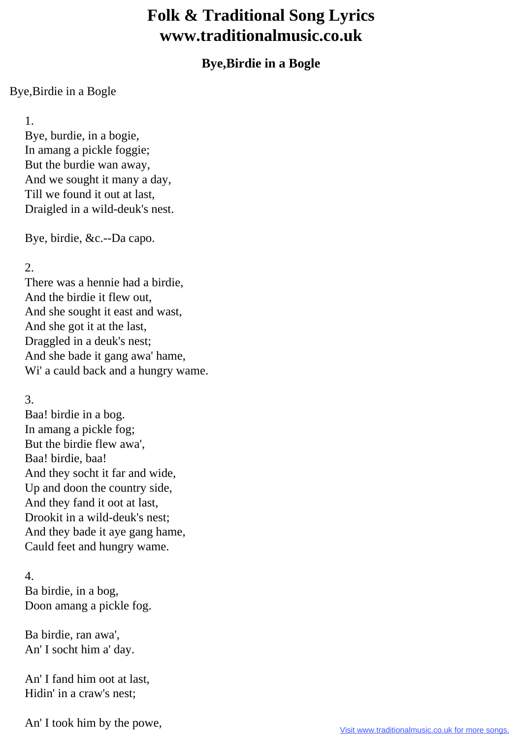## **Folk & Traditional Song Lyrics www.traditionalmusic.co.uk**

## **Bye,Birdie in a Bogle**

## Bye,Birdie in a Bogle

1.

 Bye, burdie, in a bogie, In amang a pickle foggie; But the burdie wan away, And we sought it many a day, Till we found it out at last, Draigled in a wild-deuk's nest.

Bye, birdie, &c.--Da capo.

2.

 There was a hennie had a birdie, And the birdie it flew out, And she sought it east and wast, And she got it at the last, Draggled in a deuk's nest; And she bade it gang awa' hame, Wi' a cauld back and a hungry wame.

## 3.

 Baa! birdie in a bog. In amang a pickle fog; But the birdie flew awa', Baa! birdie, baa! And they socht it far and wide, Up and doon the country side, And they fand it oot at last, Drookit in a wild-deuk's nest; And they bade it aye gang hame, Cauld feet and hungry wame.

4.

 Ba birdie, in a bog, Doon amang a pickle fog.

 Ba birdie, ran awa', An' I socht him a' day.

 An' I fand him oot at last, Hidin' in a craw's nest;

An' I took him by the powe,